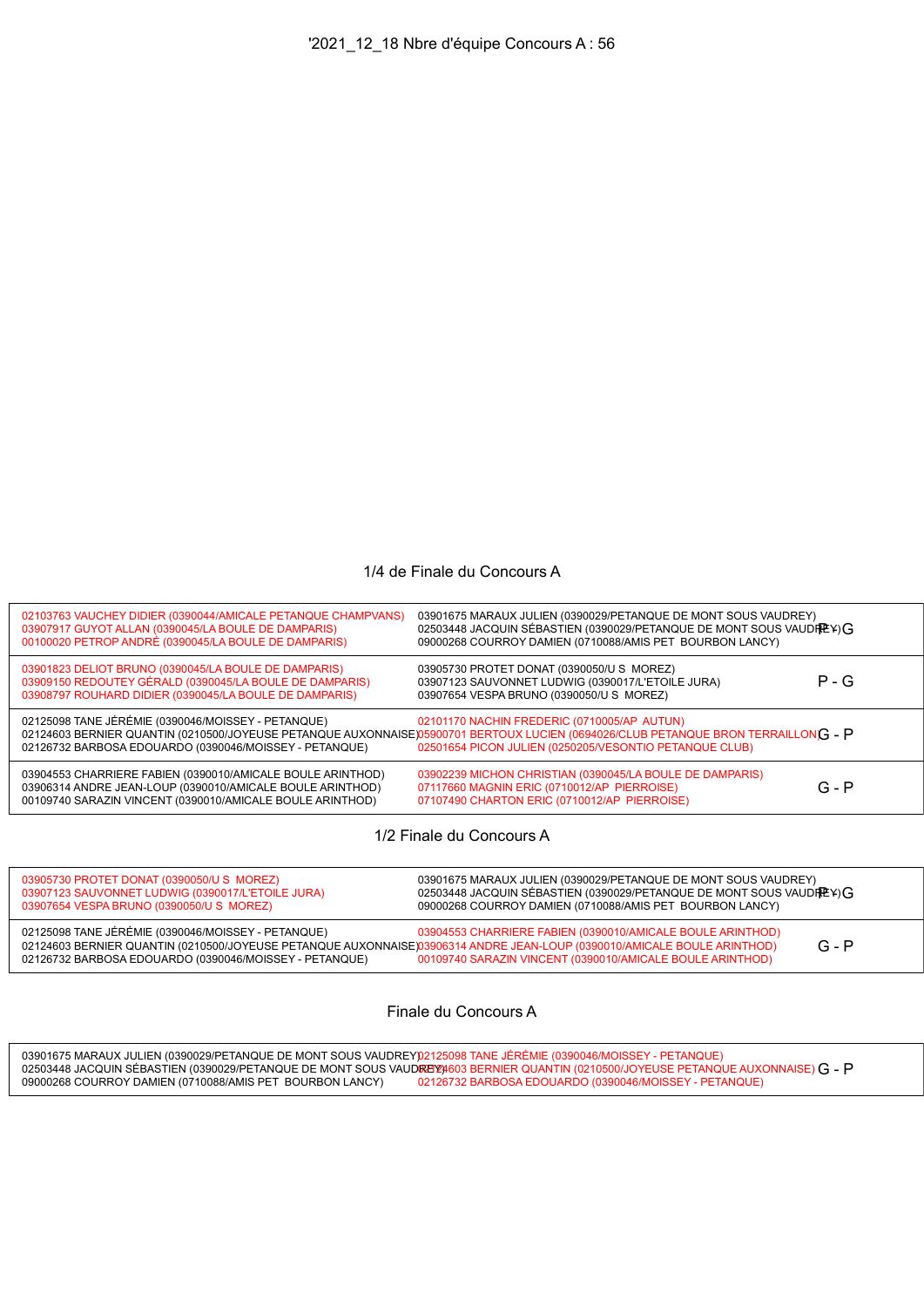## 1/4 de Finale du Concours A

| 02103763 VAUCHEY DIDIER (0390044/AMICALE PETANQUE CHAMPVANS)<br>03907917 GUYOT ALLAN (0390045/LA BOULE DE DAMPARIS)<br>00100020 PETROP ANDRÉ (0390045/LA BOULE DE DAMPARIS)          | 03901675 MARAUX JULIEN (0390029/PETANQUE DE MONT SOUS VAUDREY)<br>02503448 JACQUIN SÉBASTIEN (0390029/PETANQUE DE MONT SOUS VAUDREY) G<br>09000268 COURROY DAMIEN (0710088/AMIS PET BOURBON LANCY)                                          |         |
|--------------------------------------------------------------------------------------------------------------------------------------------------------------------------------------|---------------------------------------------------------------------------------------------------------------------------------------------------------------------------------------------------------------------------------------------|---------|
| 03901823 DELIOT BRUNO (0390045/LA BOULE DE DAMPARIS)<br>03909150 REDOUTEY GÉRALD (0390045/LA BOULE DE DAMPARIS)<br>03908797 ROUHARD DIDIER (0390045/LA BOULE DE DAMPARIS)            | 03905730 PROTET DONAT (0390050/U S MOREZ)<br>03907123 SAUVONNET LUDWIG (0390017/L'ETOILE JURA)<br>03907654 VESPA BRUNO (0390050/U S MOREZ)                                                                                                  | $P - G$ |
| 02125098 TANE JÉRÉMIE (0390046/MOISSEY - PETANQUE)<br>02126732 BARBOSA EDOUARDO (0390046/MOISSEY - PETANQUE)                                                                         | 02101170 NACHIN FREDERIC (0710005/AP AUTUN)<br>02124603 BERNIER QUANTIN (0210500/JOYEUSE PETANQUE AUXONNAISE) 05900701 BERTOUX LUCIEN (0694026/CLUB PETANQUE BRON TERRAILLONG - P<br>02501654 PICON JULIEN (0250205/VESONTIO PETANQUE CLUB) |         |
| 03904553 CHARRIERE FABIEN (0390010/AMICALE BOULE ARINTHOD)<br>03906314 ANDRE JEAN-LOUP (0390010/AMICALE BOULE ARINTHOD)<br>00109740 SARAZIN VINCENT (0390010/AMICALE BOULE ARINTHOD) | 03902239 MICHON CHRISTIAN (0390045/LA BOULE DE DAMPARIS)<br>07117660 MAGNIN ERIC (0710012/AP PIERROISE)<br>07107490 CHARTON ERIC (0710012/AP PIERROISE)                                                                                     | $G - P$ |

1/2 Finale du Concours A

| 03905730 PROTET DONAT (0390050/U S MOREZ)                                                                               | 03901675 MARAUX JULIEN (0390029/PETANQUE DE MONT SOUS VAUDREY)        |
|-------------------------------------------------------------------------------------------------------------------------|-----------------------------------------------------------------------|
| 03907123 SAUVONNET LUDWIG (0390017/L'ETOILE JURA)                                                                       | 02503448 JACQUIN SÉBASTIEN (0390029/PETANQUE DE MONT SOUS VAUDIREY) G |
| 03907654 VESPA BRUNO (0390050/U S MOREZ)                                                                                | 09000268 COURROY DAMIEN (0710088/AMIS PET BOURBON LANCY)              |
| 02125098 TANE JÉRÉMIE (0390046/MOISSEY - PETANQUE)                                                                      | 03904553 CHARRIERE FABIEN (0390010/AMICALE BOULE ARINTHOD)            |
| 02124603 BERNIER QUANTIN (0210500/JOYEUSE PETANQUE AUXONNAISE)03906314 ANDRE JEAN-LOUP (0390010/AMICALE BOULE ARINTHOD) | $G - P$                                                               |
| 02126732 BARBOSA EDOUARDO (0390046/MOISSEY - PETANQUE)                                                                  | 00109740 SARAZIN VINCENT (0390010/AMICALE BOULE ARINTHOD)             |

Finale du Concours A

03901675 MARAUX JULIEN (0390029/PETANQUE DE MONT SOUS VAUDREY) 02503448 JACQUIN SÉBASTIEN (0390029/PETANQUE DE MONT SOUS VAUD<mark>REY</mark>?) 09000268 COURROY DAMIEN (0710088/AMIS PET BOURBON LANCY) 02125098 TANE JÉRÉMIE (0390046/MOISSEY - PETANQUE) 02124603 BERNIER QUANTIN (0210500/JOYEUSE PETANQUE AUXONNAISE) 082924603 BERNIER QUANTIN (0210500/JOYEUSE PETANQUE AUXONNAISE) **G - P**<br>02126732 BARBOSA EDOUARDO (0390046/MOISSEY - PETANQUE)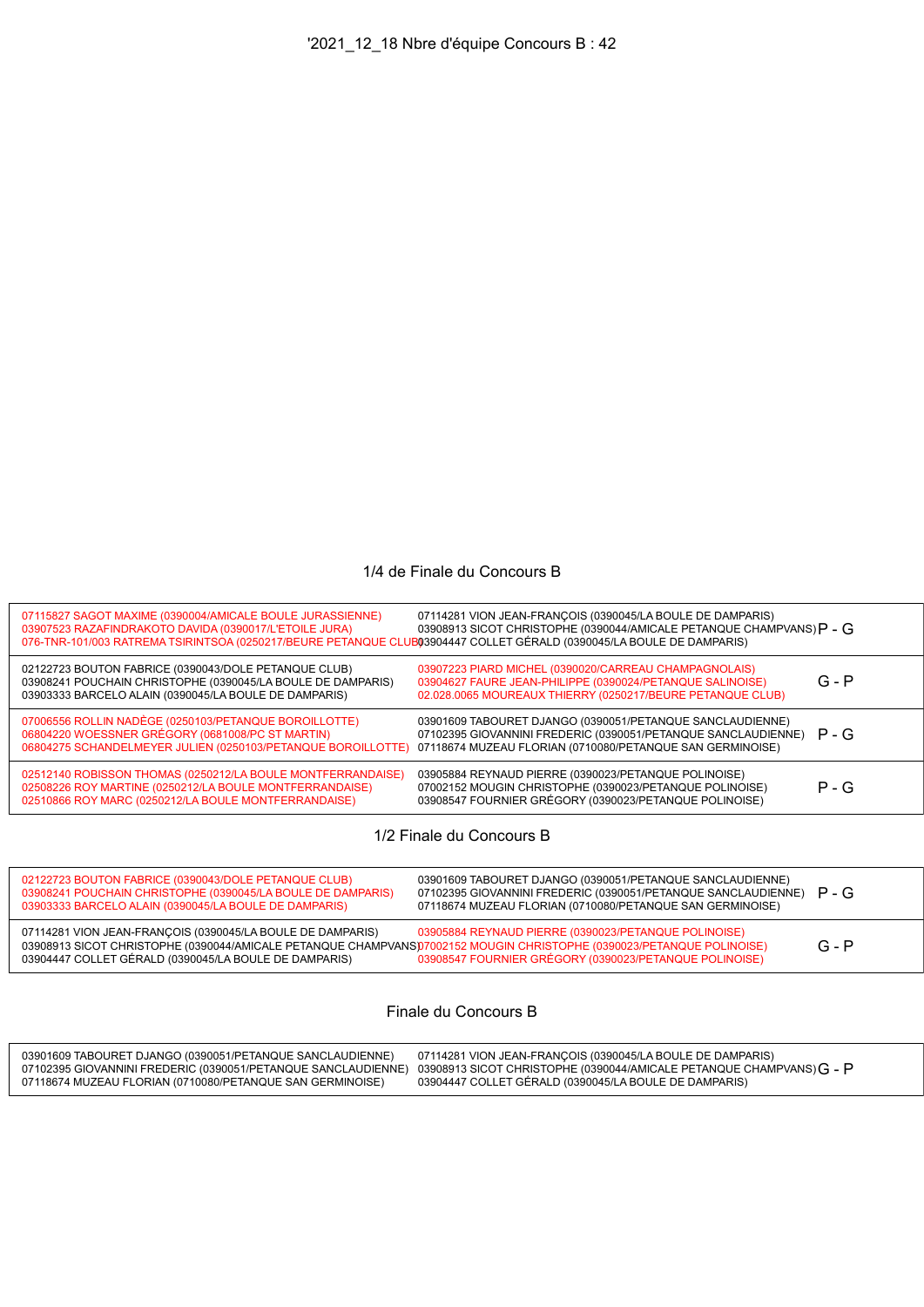## 1/4 de Finale du Concours B

| 07115827 SAGOT MAXIME (0390004/AMICALE BOULE JURASSIENNE)<br>03907523 RAZAFINDRAKOTO DAVIDA (0390017/L'ETOILE JURA)<br>076-TNR-101/003 RATREMA TSIRINTSOA (0250217/BEURE PETANQUE CLUB03904447 COLLET GÉRALD (0390045/LA BOULE DE DAMPARIS) | 07114281 VION JEAN-FRANCOIS (0390045/LA BOULE DE DAMPARIS)<br>03908913 SICOT CHRISTOPHE (0390044/AMICALE PETANQUE CHAMPVANS) $P - G$                                                    |         |
|---------------------------------------------------------------------------------------------------------------------------------------------------------------------------------------------------------------------------------------------|-----------------------------------------------------------------------------------------------------------------------------------------------------------------------------------------|---------|
| 02122723 BOUTON FABRICE (0390043/DOLE PETANQUE CLUB)<br>03908241 POUCHAIN CHRISTOPHE (0390045/LA BOULE DE DAMPARIS)<br>03903333 BARCELO ALAIN (0390045/LA BOULE DE DAMPARIS)                                                                | 03907223 PIARD MICHEL (0390020/CARREAU CHAMPAGNOLAIS)<br>03904627 FAURE JEAN-PHILIPPE (0390024/PETANQUE SALINOISE)<br>02.028.0065 MOUREAUX THIERRY (0250217/BEURE PETANQUE CLUB)        | $G - P$ |
| 07006556 ROLLIN NADÈGE (0250103/PETANQUE BOROILLOTTE)<br>06804220 WOESSNER GRÉGORY (0681008/PC ST MARTIN)<br>06804275 SCHANDELMEYER JULIEN (0250103/PETANQUE BOROILLOTTE)                                                                   | 03901609 TABOURET DJANGO (0390051/PETANQUE SANCLAUDIENNE)<br>07102395 GIOVANNINI FREDERIC (0390051/PETANQUE SANCLAUDIENNE)<br>07118674 MUZEAU FLORIAN (0710080/PETANQUE SAN GERMINOISE) | $P - G$ |
| 02512140 ROBISSON THOMAS (0250212/LA BOULE MONTFERRANDAISE)<br>02508226 ROY MARTINE (0250212/LA BOULE MONTFERRANDAISE)<br>02510866 ROY MARC (0250212/LA BOULE MONTFERRANDAISE)                                                              | 03905884 REYNAUD PIERRE (0390023/PETANQUE POLINOISE)<br>07002152 MOUGIN CHRISTOPHE (0390023/PETANQUE POLINOISE)<br>03908547 FOURNIER GRÉGORY (0390023/PETANQUE POLINOISE)               | $P - G$ |
|                                                                                                                                                                                                                                             |                                                                                                                                                                                         |         |

1/2 Finale du Concours B

| 02122723 BOUTON FABRICE (0390043/DOLE PETANQUE CLUB)<br>03908241 POUCHAIN CHRISTOPHE (0390045/LA BOULE DE DAMPARIS)<br>03903333 BARCELO ALAIN (0390045/LA BOULE DE DAMPARIS)                                                                 | 03901609 TABOURET DJANGO (0390051/PETANQUE SANCLAUDIENNE)<br>07102395 GIOVANNINI FREDERIC (0390051/PETANQUE SANCLAUDIENNE)<br>07118674 MUZEAU FLORIAN (0710080/PETANQUE SAN GERMINOISE) | $P - G$ |
|----------------------------------------------------------------------------------------------------------------------------------------------------------------------------------------------------------------------------------------------|-----------------------------------------------------------------------------------------------------------------------------------------------------------------------------------------|---------|
| 07114281 VION JEAN-FRANÇOIS (0390045/LA BOULE DE DAMPARIS)<br>03908913 SICOT CHRISTOPHE (0390044/AMICALE PETANQUE CHAMPVANS)07002152 MOUGIN CHRISTOPHE (0390023/PETANQUE POLINOISE)<br>03904447 COLLET GÉRALD (0390045/LA BOULE DE DAMPARIS) | 03905884 REYNAUD PIERRE (0390023/PETANQUE POLINOISE)<br>03908547 FOURNIER GRÉGORY (0390023/PETANQUE POLINOISE)                                                                          | $G - P$ |

Finale du Concours B

| 03901609 TABOURET DJANGO (0390051/PETANQUE SANCLAUDIENNE) | 07114281 VION JEAN-FRANCOIS (0390045/LA BOULE DE DAMPARIS)                                                                         |
|-----------------------------------------------------------|------------------------------------------------------------------------------------------------------------------------------------|
|                                                           | 07102395 GIOVANNINI FREDERIC (0390051/PETANQUE SANCLAUDIENNE) 03908913 SICOT CHRISTOPHE (0390044/AMICALE PETANQUE CHAMPVANS) G - P |
| 07118674 MUZEAU FLORIAN (0710080/PETANQUE SAN GERMINOISE) | 03904447 COLLET GERALD (0390045/LA BOULE DE DAMPARIS)                                                                              |